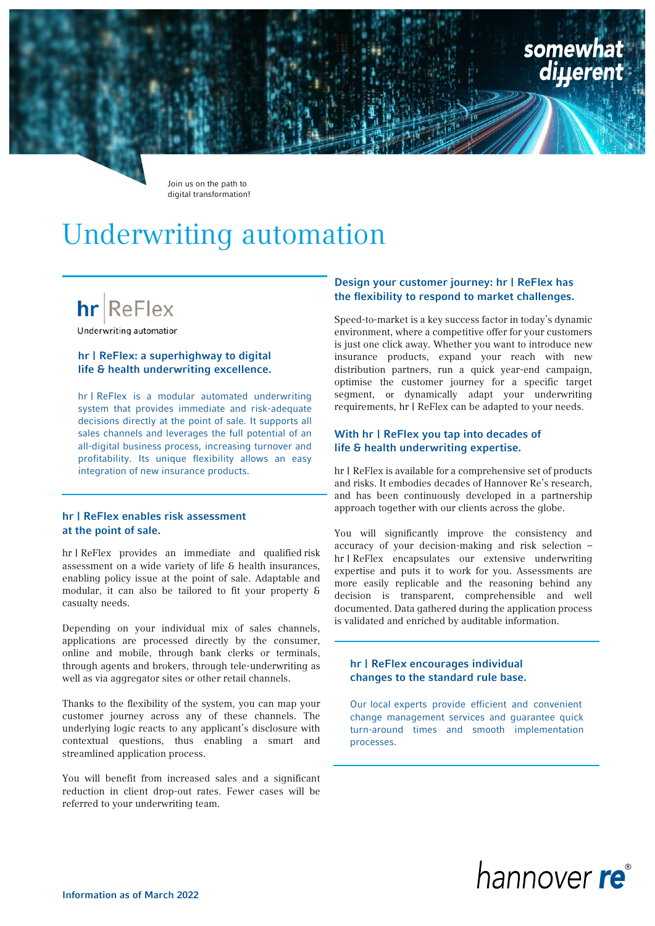

Join us on the path to digital transformation!

# Underwriting automation

# $hr$  ReFlex

Underwriting automation

# hr | ReFlex: a superhighway to digital life & health underwriting excellence.

hr | ReFlex is a modular automated underwriting system that provides immediate and risk-adequate decisions directly at the point of sale. It supports all sales channels and leverages the full potential of an all-digital business process, increasing turnover and profitability. Its unique flexibility allows an easy integration of new insurance products.

#### hr | ReFlex enables risk assessment at the point of sale.

hr | ReFlex provides an immediate and qualified risk assessment on a wide variety of life & health insurances, enabling policy issue at the point of sale. Adaptable and modular, it can also be tailored to fit your property & casualty needs.

Depending on your individual mix of sales channels, applications are processed directly by the consumer, online and mobile, through bank clerks or terminals, through agents and brokers, through tele-underwriting as well as via aggregator sites or other retail channels.

Thanks to the flexibility of the system, you can map your customer journey across any of these channels. The underlying logic reacts to any applicant's disclosure with contextual questions, thus enabling a smart and streamlined application process.

You will benefit from increased sales and a significant reduction in client drop-out rates. Fewer cases will be referred to your underwriting team.

# Design your customer journey: hr | ReFlex has the flexibility to respond to market challenges.

Speed-to-market is a key success factor in today's dynamic environment, where a competitive offer for your customers is just one click away. Whether you want to introduce new insurance products, expand your reach with new distribution partners, run a quick year-end campaign, optimise the customer journey for a specific target segment, or dynamically adapt your underwriting requirements, hr | ReFlex can be adapted to your needs.

# With hr | ReFlex you tap into decades of life & health underwriting expertise.

hr | ReFlex is available for a comprehensive set of products and risks. It embodies decades of Hannover Re's research, and has been continuously developed in a partnership approach together with our clients across the globe.

You will significantly improve the consistency and accuracy of your decision-making and risk selection – hr | ReFlex encapsulates our extensive underwriting expertise and puts it to work for you. Assessments are more easily replicable and the reasoning behind any decision is transparent, comprehensible and well documented. Data gathered during the application process is validated and enriched by auditable information.

#### hr | ReFlex encourages individual changes to the standard rule base.

Our local experts provide efficient and convenient change management services and guarantee quick turn-around times and smooth implementation processes.